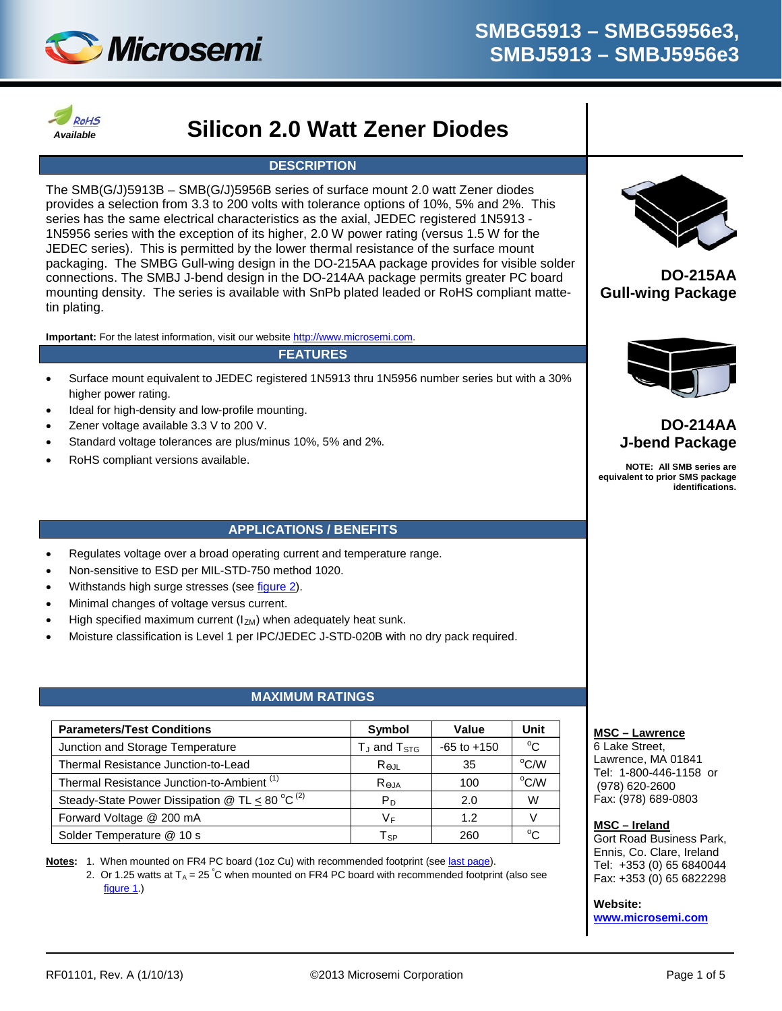



# *Available* **Silicon 2.0 Watt Zener Diodes**

### **DESCRIPTION**

The SMB(G/J)5913B – SMB(G/J)5956B series of surface mount 2.0 watt Zener diodes provides a selection from 3.3 to 200 volts with tolerance options of 10%, 5% and 2%. This series has the same electrical characteristics as the axial, JEDEC registered 1N5913 - 1N5956 series with the exception of its higher, 2.0 W power rating (versus 1.5 W for the JEDEC series). This is permitted by the lower thermal resistance of the surface mount packaging. The SMBG Gull-wing design in the DO-215AA package provides for visible solder connections. The SMBJ J-bend design in the DO-214AA package permits greater PC board mounting density. The series is available with SnPb plated leaded or RoHS compliant mattetin plating.

**Important:** For the latest information, visit our website [http://www.microsemi.com.](http://www.microsemi.com/)

#### **FEATURES**

- Surface mount equivalent to JEDEC registered 1N5913 thru 1N5956 number series but with a 30% higher power rating.
- Ideal for high-density and low-profile mounting.
- Zener voltage available 3.3 V to 200 V.
- Standard voltage tolerances are plus/minus 10%, 5% and 2%.
- RoHS compliant versions available.

### **APPLICATIONS / BENEFITS**

- Regulates voltage over a broad operating current and temperature range.
- Non-sensitive to ESD per MIL-STD-750 method 1020.
- Withstands high surge stresses (se[e figure 2\)](#page-3-0).
- Minimal changes of voltage versus current.
- High specified maximum current  $(I_{ZM})$  when adequately heat sunk.
- Moisture classification is Level 1 per IPC/JEDEC J-STD-020B with no dry pack required.

### **MAXIMUM RATINGS**

<span id="page-0-0"></span>

| <b>Parameters/Test Conditions</b>                     | Symbol                     | Value           | Unit           |
|-------------------------------------------------------|----------------------------|-----------------|----------------|
| Junction and Storage Temperature                      | $T_J$ and $T_{STG}$        | $-65$ to $+150$ | $^{\circ}$ C   |
| Thermal Resistance Junction-to-Lead                   | $R_{\Theta \text{JL}}$     | 35              | $^{\circ}$ C/W |
| Thermal Resistance Junction-to-Ambient <sup>(1)</sup> | Reja                       | 100             | $^{\circ}$ C/W |
| Steady-State Power Dissipation @ TL < 80 °C $^{(2)}$  | Рn                         | 2.0             | W              |
| Forward Voltage @ 200 mA                              | V <sub>F</sub>             | 1.2             |                |
| Solder Temperature @ 10 s                             | $\mathsf{T}_{\mathsf{SP}}$ | 260             | $^{\circ}$ C   |

**Notes:** 1. When mounted on FR4 PC board (1oz Cu) with recommended footprint (se[e last page\)](#page-4-0).

2. Or 1.25 watts at T<sub>A</sub> = 25 °C when mounted on FR4 PC board with recommended footprint (also see [figure 1.](#page-3-0))



**DO-215AA Gull-wing Package**



## **DO-214AA J-bend Package**

**NOTE: All SMB series are equivalent to prior SMS package identifications.**

#### **MSC – Lawrence**

6 Lake Street, Lawrence, MA 01841 Tel: 1-800-446-1158 or (978) 620-2600 Fax: (978) 689-0803

#### **MSC – Ireland**

Gort Road Business Park, Ennis, Co. Clare, Ireland Tel: +353 (0) 65 6840044 Fax: +353 (0) 65 6822298

**Website:** 

**[www.microsemi.com](http://www.microsemi.com/)**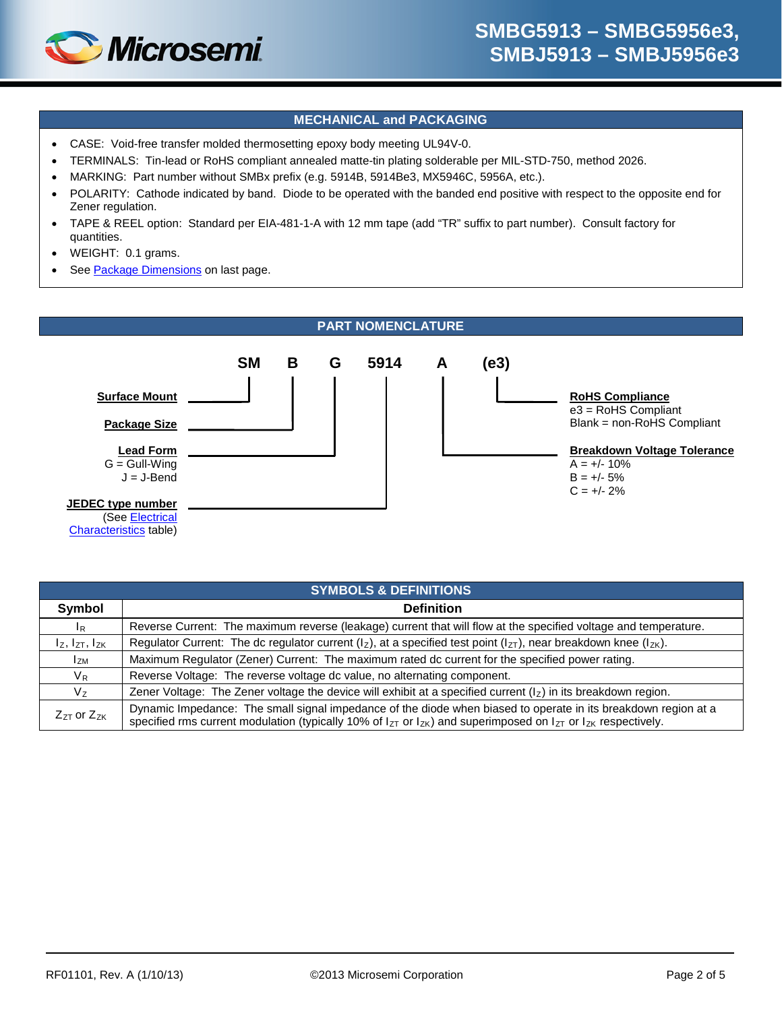

### **MECHANICAL and PACKAGING**

- CASE: Void-free transfer molded thermosetting epoxy body meeting UL94V-0.
- TERMINALS: Tin-lead or RoHS compliant annealed matte-tin plating solderable per MIL-STD-750, method 2026.
- MARKING: Part number without SMBx prefix (e.g. 5914B, 5914Be3, MX5946C, 5956A, etc.).
- POLARITY: Cathode indicated by band. Diode to be operated with the banded end positive with respect to the opposite end for Zener regulation.
- TAPE & REEL option: Standard per EIA-481-1-A with 12 mm tape (add "TR" suffix to part number). Consult factory for quantities.
- WEIGHT: 0.1 grams.
- See [Package Dimensions](#page-4-1) on last page.



|                             | <b>SYMBOLS &amp; DEFINITIONS</b>                                                                                                                                                                                                                   |  |  |  |  |
|-----------------------------|----------------------------------------------------------------------------------------------------------------------------------------------------------------------------------------------------------------------------------------------------|--|--|--|--|
| Symbol                      | <b>Definition</b>                                                                                                                                                                                                                                  |  |  |  |  |
| $I_R$                       | Reverse Current: The maximum reverse (leakage) current that will flow at the specified voltage and temperature.                                                                                                                                    |  |  |  |  |
| $I_z$ , $I_{ZT}$ , $I_{ZK}$ | Regulator Current: The dc regulator current ( $I_z$ ), at a specified test point ( $I_{zT}$ ), near breakdown knee ( $I_{zK}$ ).                                                                                                                   |  |  |  |  |
| l <sub>ZM</sub>             | Maximum Regulator (Zener) Current: The maximum rated dc current for the specified power rating.                                                                                                                                                    |  |  |  |  |
| $V_{R}$                     | Reverse Voltage: The reverse voltage dc value, no alternating component.                                                                                                                                                                           |  |  |  |  |
| $V_{Z}$                     | Zener Voltage: The Zener voltage the device will exhibit at a specified current $(l_z)$ in its breakdown region.                                                                                                                                   |  |  |  |  |
| $Z_{ZT}$ or $Z_{ZK}$        | Dynamic Impedance: The small signal impedance of the diode when biased to operate in its breakdown region at a<br>specified rms current modulation (typically 10% of $I_{ZT}$ or $I_{ZK}$ ) and superimposed on $I_{ZT}$ or $I_{ZK}$ respectively. |  |  |  |  |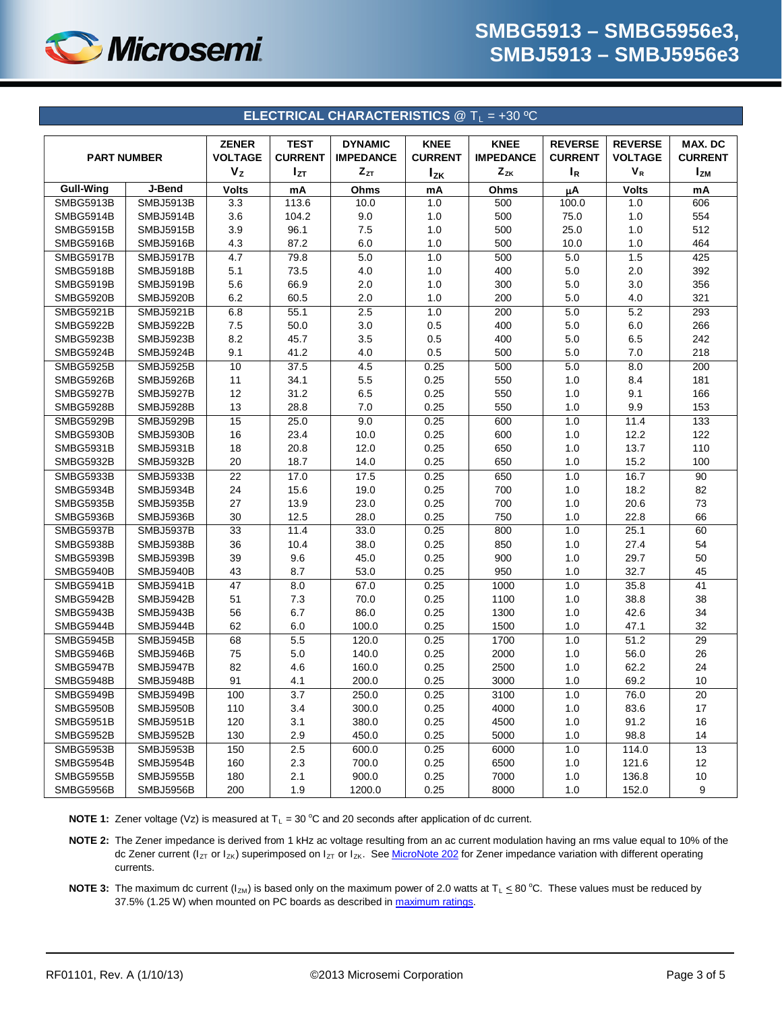

<span id="page-2-0"></span>

|                    |                  |                |                | <b>ELECTRICAL CHARACTERISTICS @ T<sub>1</sub> = +30 °C</b> |                |                  |                |                |                |
|--------------------|------------------|----------------|----------------|------------------------------------------------------------|----------------|------------------|----------------|----------------|----------------|
|                    |                  | <b>ZENER</b>   | <b>TEST</b>    | <b>DYNAMIC</b>                                             | <b>KNEE</b>    | <b>KNEE</b>      | <b>REVERSE</b> | <b>REVERSE</b> | MAX. DC        |
| <b>PART NUMBER</b> |                  | <b>VOLTAGE</b> | <b>CURRENT</b> | <b>IMPEDANCE</b>                                           | <b>CURRENT</b> | <b>IMPEDANCE</b> | <b>CURRENT</b> | <b>VOLTAGE</b> | <b>CURRENT</b> |
|                    |                  | V <sub>z</sub> | $I_{ZT}$       | $Z_{ZT}$                                                   | $I_{ZK}$       | $Z_{ZK}$         | I <sub>R</sub> | $V_R$          | $I_{ZM}$       |
| <b>Gull-Wing</b>   | J-Bend           | <b>Volts</b>   | mA             | Ohms                                                       | mA             | Ohms             | μA             | <b>Volts</b>   | mA             |
| SMBG5913B          | <b>SMBJ5913B</b> | 3.3            | 113.6          | 10.0                                                       | 1.0            | 500              | 100.0          | 1.0            | 606            |
| SMBG5914B          | SMBJ5914B        | 3.6            | 104.2          | 9.0                                                        | 1.0            | 500              | 75.0           | 1.0            | 554            |
| <b>SMBG5915B</b>   | SMBJ5915B        | 3.9            | 96.1           | 7.5                                                        | 1.0            | 500              | 25.0           | 1.0            | 512            |
| SMBG5916B          | SMBJ5916B        | 4.3            | 87.2           | 6.0                                                        | 1.0            | 500              | 10.0           | 1.0            | 464            |
| <b>SMBG5917B</b>   | <b>SMBJ5917B</b> | 4.7            | 79.8           | 5.0                                                        | 1.0            | 500              | 5.0            | 1.5            | 425            |
| <b>SMBG5918B</b>   | <b>SMBJ5918B</b> | 5.1            | 73.5           | 4.0                                                        | 1.0            | 400              | 5.0            | 2.0            | 392            |
| SMBG5919B          | <b>SMBJ5919B</b> | 5.6            | 66.9           | 2.0                                                        | 1.0            | 300              | 5.0            | 3.0            | 356            |
| SMBG5920B          | <b>SMBJ5920B</b> | 6.2            | 60.5           | 2.0                                                        | 1.0            | 200              | 5.0            | 4.0            | 321            |
| <b>SMBG5921B</b>   | <b>SMBJ5921B</b> | 6.8            | 55.1           | 2.5                                                        | 1.0            | 200              | 5.0            | 5.2            | 293            |
| SMBG5922B          | <b>SMBJ5922B</b> | 7.5            | 50.0           | 3.0                                                        | 0.5            | 400              | 5.0            | 6.0            | 266            |
| SMBG5923B          | SMBJ5923B        | 8.2            | 45.7           | 3.5                                                        | 0.5            | 400              | 5.0            | 6.5            | 242            |
| SMBG5924B          | SMBJ5924B        | 9.1            | 41.2           | 4.0                                                        | 0.5            | 500              | $5.0\,$        | 7.0            | 218            |
| <b>SMBG5925B</b>   | <b>SMBJ5925B</b> | 10             | 37.5           | 4.5                                                        | 0.25           | 500              | 5.0            | 8.0            | 200            |
| SMBG5926B          | SMBJ5926B        | 11             | 34.1           | 5.5                                                        | 0.25           | 550              | 1.0            | 8.4            | 181            |
| SMBG5927B          | <b>SMBJ5927B</b> | 12             | 31.2           | 6.5                                                        | 0.25           | 550              | 1.0            | 9.1            | 166            |
| SMBG5928B          | <b>SMBJ5928B</b> | 13             | 28.8           | 7.0                                                        | 0.25           | 550              | 1.0            | 9.9            | 153            |
| SMBG5929B          | <b>SMBJ5929B</b> | 15             | 25.0           | 9.0                                                        | 0.25           | 600              | 1.0            | 11.4           | 133            |
| <b>SMBG5930B</b>   | <b>SMBJ5930B</b> | 16             | 23.4           | 10.0                                                       | 0.25           | 600              | 1.0            | 12.2           | 122            |
| <b>SMBG5931B</b>   | <b>SMBJ5931B</b> | 18             | 20.8           | 12.0                                                       | 0.25           | 650              | 1.0            | 13.7           | 110            |
| SMBG5932B          | <b>SMBJ5932B</b> | 20             | 18.7           | 14.0                                                       | 0.25           | 650              | 1.0            | 15.2           | 100            |
| SMBG5933B          | SMBJ5933B        | 22             | 17.0           | 17.5                                                       | 0.25           | 650              | 1.0            | 16.7           | 90             |
| SMBG5934B          | SMBJ5934B        | 24             | 15.6           | 19.0                                                       | 0.25           | 700              | 1.0            | 18.2           | 82             |
| SMBG5935B          | SMBJ5935B        | 27             | 13.9           | 23.0                                                       | 0.25           | 700              | 1.0            | 20.6           | 73             |
| SMBG5936B          | SMBJ5936B        | 30             | 12.5           | 28.0                                                       | 0.25           | 750              | 1.0            | 22.8           | 66             |
| SMBG5937B          | <b>SMBJ5937B</b> | 33             | 11.4           | 33.0                                                       | 0.25           | 800              | 1.0            | 25.1           | 60             |
| SMBG5938B          | <b>SMBJ5938B</b> | 36             | 10.4           | 38.0                                                       | 0.25           | 850              | 1.0            | 27.4           | 54             |
| SMBG5939B          | <b>SMBJ5939B</b> | 39             | 9.6            | 45.0                                                       | 0.25           | 900              | 1.0            | 29.7           | 50             |
| SMBG5940B          | SMBJ5940B        | 43             | 8.7            | 53.0                                                       | 0.25           | 950              | 1.0            | 32.7           | 45             |
| SMBG5941B          | SMBJ5941B        | 47             | 8.0            | 67.0                                                       | 0.25           | 1000             | 1.0            | 35.8           | 41             |
| SMBG5942B          | SMBJ5942B        | 51             | 7.3            | 70.0                                                       | 0.25           | 1100             | 1.0            | 38.8           | 38             |
| SMBG5943B          | SMBJ5943B        | 56             | 6.7            | 86.0                                                       | 0.25           | 1300             | 1.0            | 42.6           | 34             |
| SMBG5944B          | SMBJ5944B        | 62             | 6.0            | 100.0                                                      | 0.25           | 1500             | 1.0            | 47.1           | 32             |
| SMBG5945B          | SMBJ5945B        | 68             | 5.5            | 120.0                                                      | 0.25           | 1700             | 1.0            | 51.2           | 29             |
| SMBG5946B          | SMBJ5946B        | 75             | 5.0            | 140.0                                                      | 0.25           | 2000             | 1.0            | 56.0           | 26             |
| SMBG5947B          | SMBJ5947B        | 82             | 4.6            | 160.0                                                      | 0.25           | 2500             | 1.0            | 62.2           | 24             |
| SMBG5948B          | <b>SMBJ5948B</b> | 91             | 4.1            | 200.0                                                      | 0.25           | 3000             | $1.0\,$        | 69.2           | $10$           |
| SMBG5949B          | SMBJ5949B        | 100            | 3.7            | 250.0                                                      | 0.25           | 3100             | 1.0            | 76.0           | 20             |
| SMBG5950B          | SMBJ5950B        | 110            | 3.4            | 300.0                                                      | 0.25           | 4000             | 1.0            | 83.6           | 17             |
| SMBG5951B          | SMBJ5951B        | 120            | 3.1            | 380.0                                                      | 0.25           | 4500             | 1.0            | 91.2           | 16             |
| SMBG5952B          | SMBJ5952B        | 130            | 2.9            | 450.0                                                      | 0.25           | 5000             | 1.0            | 98.8           | 14             |
| SMBG5953B          | SMBJ5953B        | 150            | 2.5            | 600.0                                                      | 0.25           | 6000             | 1.0            | 114.0          | 13             |
| SMBG5954B          | SMBJ5954B        | 160            | 2.3            | 700.0                                                      | 0.25           | 6500             | 1.0            | 121.6          | 12             |
| SMBG5955B          | SMBJ5955B        | 180            | 2.1            | 900.0                                                      | 0.25           | 7000             | 1.0            | 136.8          | 10             |
| SMBG5956B          | SMBJ5956B        | 200            | 1.9            | 1200.0                                                     | 0.25           | 8000             | 1.0            | 152.0          | 9              |

**NOTE 1:** Zener voltage (Vz) is measured at  $T_L = 30$  °C and 20 seconds after application of dc current.

**NOTE 2:** The Zener impedance is derived from 1 kHz ac voltage resulting from an ac current modulation having an rms value equal to 10% of the dc Zener current ( $I_{ZT}$  or  $I_{ZK}$ ) superimposed on  $I_{ZT}$  or  $I_{ZK}$ . See [MicroNote 202](http://www.microsemi.com/en/sites/default/files/micnotes/202.pdf) for Zener impedance variation with different operating currents.

**NOTE 3:** The maximum dc current ( $I_{ZM}$ ) is based only on the maximum power of 2.0 watts at  $T_L \leq 80^{\circ}$ C. These values must be reduced by 37.5% (1.25 W) when mounted on PC boards as described i[n maximum ratings.](#page-0-0)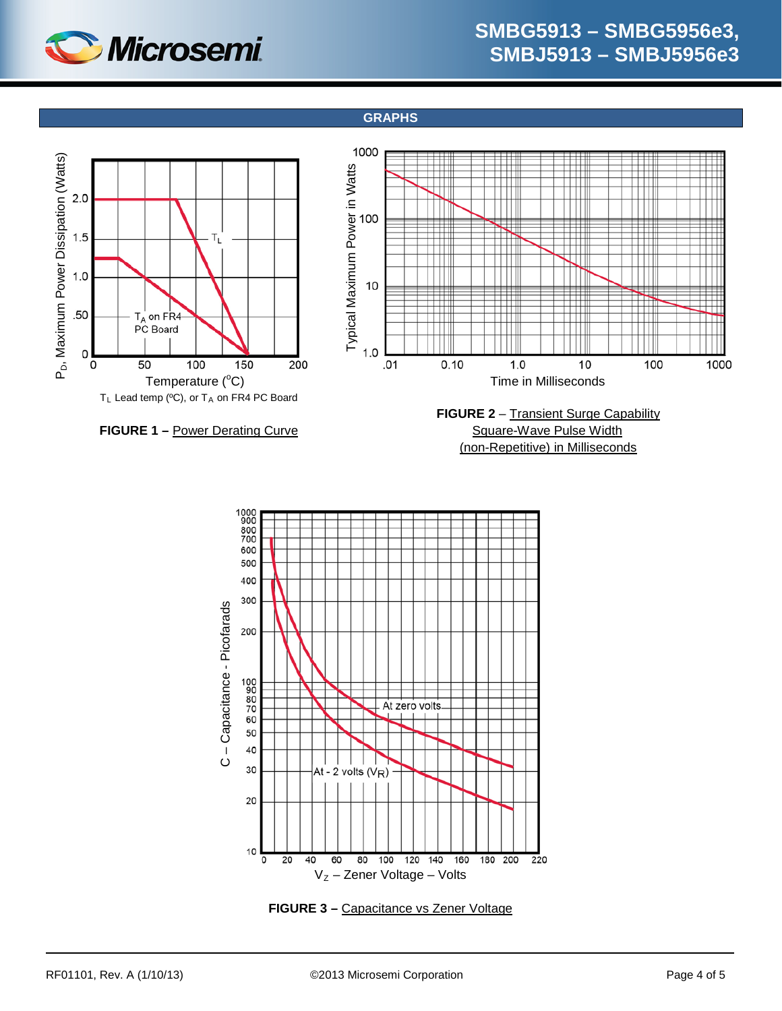

**GRAPHS**

<span id="page-3-0"></span>

(non-Repetitive) in Milliseconds



**FIGURE 3 –** Capacitance vs Zener Voltage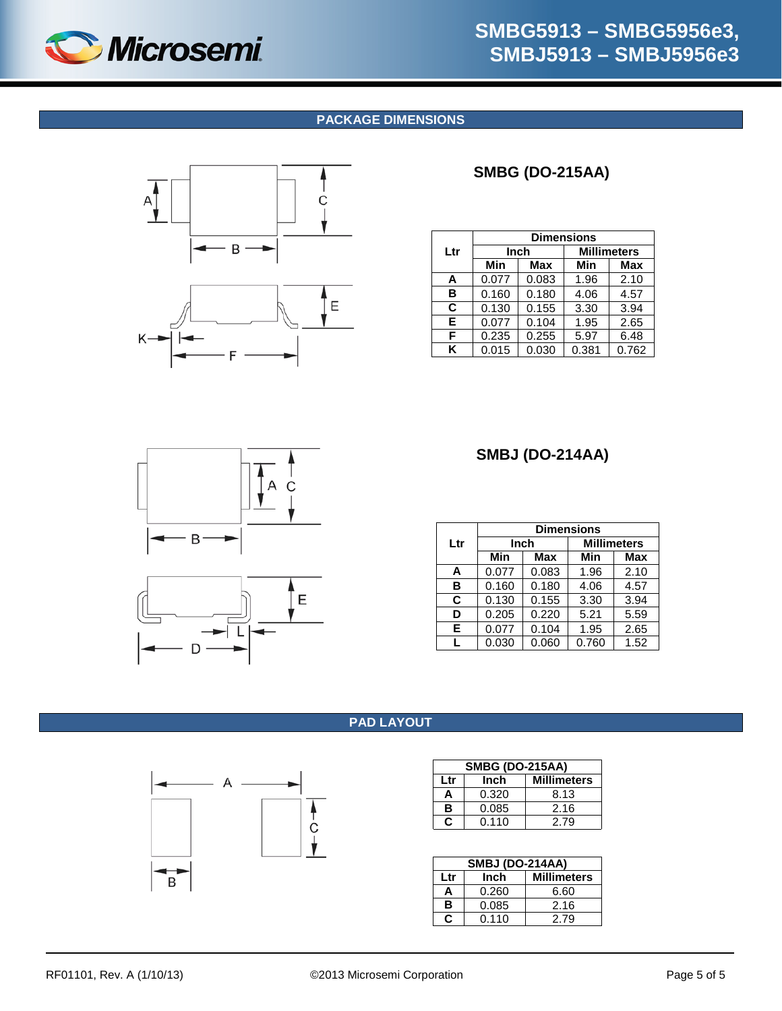<span id="page-4-1"></span>

# **SMBG5913 – SMBG5956e3, SMBJ5913 – SMBJ5956e3**

### **PACKAGE DIMENSIONS**





## **SMBG (DO-215AA)**

|     | <b>Dimensions</b> |       |                    |       |
|-----|-------------------|-------|--------------------|-------|
| Ltr | Inch              |       | <b>Millimeters</b> |       |
|     | Min               | Max   | Min                | Max   |
| A   | 0.077             | 0.083 | 1.96               | 2.10  |
| в   | 0.160             | 0.180 | 4.06               | 4.57  |
| C   | 0.130             | 0.155 | 3.30               | 3.94  |
| Е   | 0.077             | 0.104 | 1.95               | 2.65  |
| F   | 0.235             | 0.255 | 5.97               | 6.48  |
| ĸ   | 0.015             | 0.030 | 0.381              | 0.762 |





## **SMBJ (DO-214AA)**

|     | <b>Dimensions</b> |       |                    |            |
|-----|-------------------|-------|--------------------|------------|
| Ltr | Inch              |       | <b>Millimeters</b> |            |
|     | Min               | Max   | Min                | <b>Max</b> |
| A   | 0.077             | 0.083 | 1.96               | 2.10       |
| в   | 0.160             | 0.180 | 4.06               | 4.57       |
| C   | 0.130             | 0.155 | 3.30               | 3.94       |
| D   | 0.205             | 0.220 | 5.21               | 5.59       |
| Е   | 0.077             | 0.104 | 1.95               | 2.65       |
| L   | 0.030             | 0.060 | 0.760              | 1.52       |

## **PAD LAYOUT**

<span id="page-4-0"></span>

|     | <b>SMBG (DO-215AA)</b> |                    |  |  |
|-----|------------------------|--------------------|--|--|
| Ltr | Inch                   | <b>Millimeters</b> |  |  |
| A   | 0.320                  | 8.13               |  |  |
| в   | 0.085                  | 2.16               |  |  |
| С   | 0.110                  | 2.79               |  |  |

|     | <b>SMBJ (DO-214AA)</b> |      |  |  |  |
|-----|------------------------|------|--|--|--|
| Ltr | <b>Millimeters</b>     |      |  |  |  |
| А   | 0.260                  | 6.60 |  |  |  |
| в   | 0.085                  | 2.16 |  |  |  |
| С   | 0.110                  | 2.79 |  |  |  |